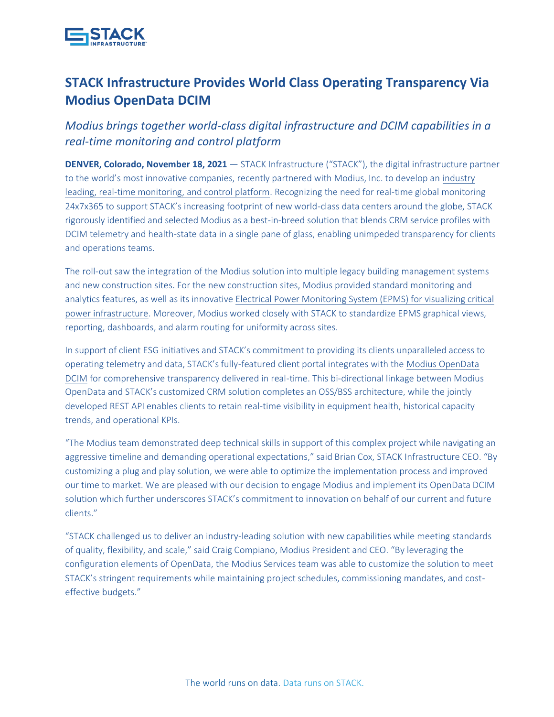

## **STACK Infrastructure Provides World Class Operating Transparency Via Modius OpenData DCIM**

*Modius brings together world-class digital infrastructure and DCIM capabilities in a real-time monitoring and control platform* 

**DENVER, Colorado, November 18, 2021** — STACK Infrastructure ("STACK"), the digital infrastructure partner to the world's most innovative companies, recently partnered with Modius, Inc. to develop an [industry](https://www.stackinfra.com/about/news-events/press-releases/stack-infrastructure-enables-industry-leading-unimpeded-transparency/)  [leading, real-time monitoring, and control platform.](https://www.stackinfra.com/about/news-events/press-releases/stack-infrastructure-enables-industry-leading-unimpeded-transparency/) Recognizing the need for real-time global monitoring 24x7x365 to support STACK's increasing footprint of new world-class data centers around the globe, STACK rigorously identified and selected Modius as a best-in-breed solution that blends CRM service profiles with DCIM telemetry and health-state data in a single pane of glass, enabling unimpeded transparency for clients and operations teams.

The roll-out saw the integration of the Modius solution into multiple legacy building management systems and new construction sites. For the new construction sites, Modius provided standard monitoring and analytics features, as well as its innovative [Electrical Power Monitoring System \(EPMS\) for visualizing critical](https://modius.com/power-management/)  [power infrastructure.](https://modius.com/power-management/) Moreover, Modius worked closely with STACK to standardize EPMS graphical views, reporting, dashboards, and alarm routing for uniformity across sites.

In support of client ESG initiatives and STACK's commitment to providing its clients unparalleled access to operating telemetry and data, STACK's fully-featured client portal integrates with the [Modius OpenData](https://modius.com/opendata-overview/)  [DCIM](https://modius.com/opendata-overview/) for comprehensive transparency delivered in real-time. This bi-directional linkage between Modius OpenData and STACK's customized CRM solution completes an OSS/BSS architecture, while the jointly developed REST API enables clients to retain real-time visibility in equipment health, historical capacity trends, and operational KPIs.

"The Modius team demonstrated deep technical skills in support of this complex project while navigating an aggressive timeline and demanding operational expectations," said Brian Cox, STACK Infrastructure CEO. "By customizing a plug and play solution, we were able to optimize the implementation process and improved our time to market. We are pleased with our decision to engage Modius and implement its OpenData DCIM solution which further underscores STACK's commitment to innovation on behalf of our current and future clients."

"STACK challenged us to deliver an industry-leading solution with new capabilities while meeting standards of quality, flexibility, and scale," said Craig Compiano, Modius President and CEO. "By leveraging the configuration elements of OpenData, the Modius Services team was able to customize the solution to meet STACK's stringent requirements while maintaining project schedules, commissioning mandates, and costeffective budgets."